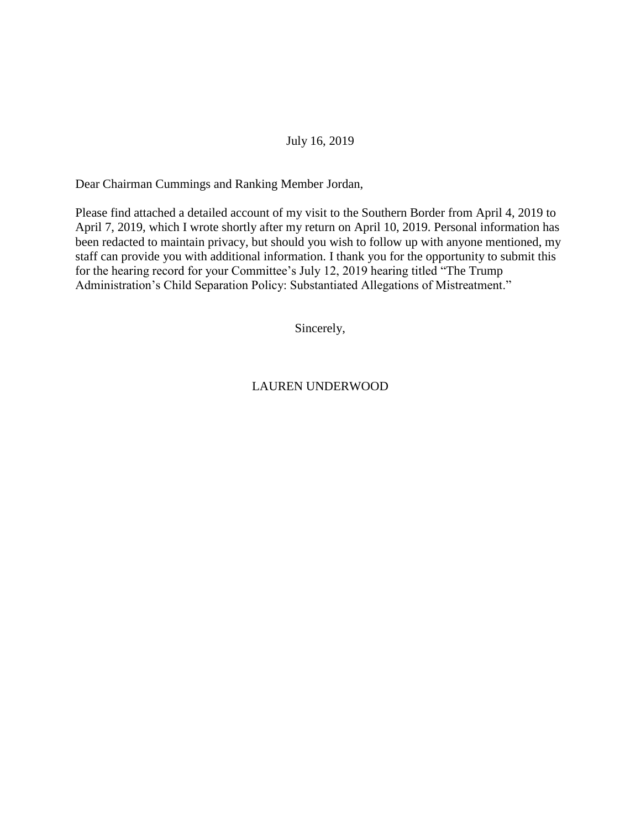#### July 16, 2019

Dear Chairman Cummings and Ranking Member Jordan,

Please find attached a detailed account of my visit to the Southern Border from April 4, 2019 to April 7, 2019, which I wrote shortly after my return on April 10, 2019. Personal information has been redacted to maintain privacy, but should you wish to follow up with anyone mentioned, my staff can provide you with additional information. I thank you for the opportunity to submit this for the hearing record for your Committee's July 12, 2019 hearing titled "The Trump Administration's Child Separation Policy: Substantiated Allegations of Mistreatment."

Sincerely,

LAUREN UNDERWOOD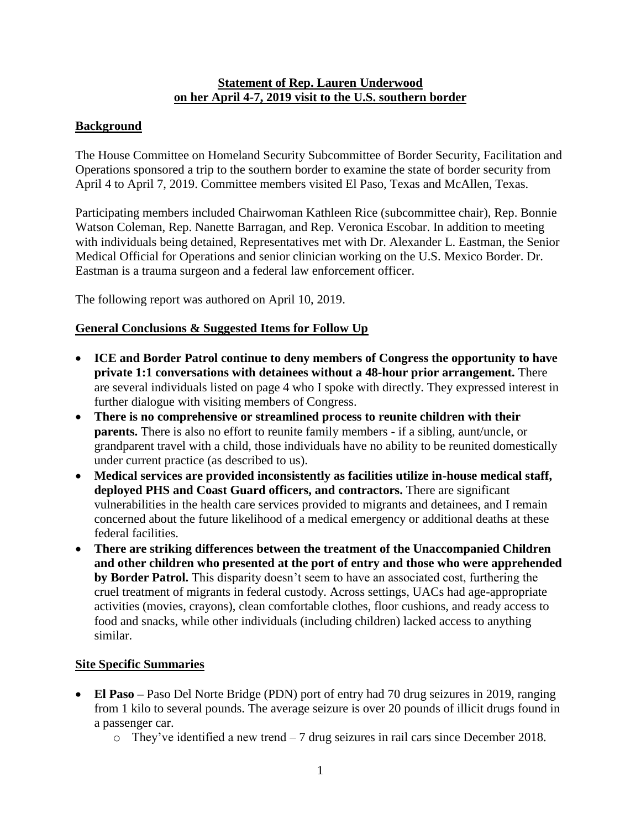#### **Statement of Rep. Lauren Underwood on her April 4-7, 2019 visit to the U.S. southern border**

# **Background**

The House Committee on Homeland Security Subcommittee of Border Security, Facilitation and Operations sponsored a trip to the southern border to examine the state of border security from April 4 to April 7, 2019. Committee members visited El Paso, Texas and McAllen, Texas.

Participating members included Chairwoman Kathleen Rice (subcommittee chair), Rep. Bonnie Watson Coleman, Rep. Nanette Barragan, and Rep. Veronica Escobar. In addition to meeting with individuals being detained, Representatives met with Dr. Alexander L. Eastman, the Senior Medical Official for Operations and senior clinician working on the U.S. Mexico Border. Dr. Eastman is a trauma surgeon and a federal law enforcement officer.

The following report was authored on April 10, 2019.

# **General Conclusions & Suggested Items for Follow Up**

- **ICE and Border Patrol continue to deny members of Congress the opportunity to have private 1:1 conversations with detainees without a 48-hour prior arrangement.** There are several individuals listed on page 4 who I spoke with directly. They expressed interest in further dialogue with visiting members of Congress.
- **There is no comprehensive or streamlined process to reunite children with their parents.** There is also no effort to reunite family members - if a sibling, aunt/uncle, or grandparent travel with a child, those individuals have no ability to be reunited domestically under current practice (as described to us).
- **Medical services are provided inconsistently as facilities utilize in-house medical staff, deployed PHS and Coast Guard officers, and contractors.** There are significant vulnerabilities in the health care services provided to migrants and detainees, and I remain concerned about the future likelihood of a medical emergency or additional deaths at these federal facilities.
- **There are striking differences between the treatment of the Unaccompanied Children and other children who presented at the port of entry and those who were apprehended by Border Patrol.** This disparity doesn't seem to have an associated cost, furthering the cruel treatment of migrants in federal custody. Across settings, UACs had age-appropriate activities (movies, crayons), clean comfortable clothes, floor cushions, and ready access to food and snacks, while other individuals (including children) lacked access to anything similar.

# **Site Specific Summaries**

- **El Paso** Paso Del Norte Bridge (PDN) port of entry had 70 drug seizures in 2019, ranging from 1 kilo to several pounds. The average seizure is over 20 pounds of illicit drugs found in a passenger car.
	- o They've identified a new trend 7 drug seizures in rail cars since December 2018.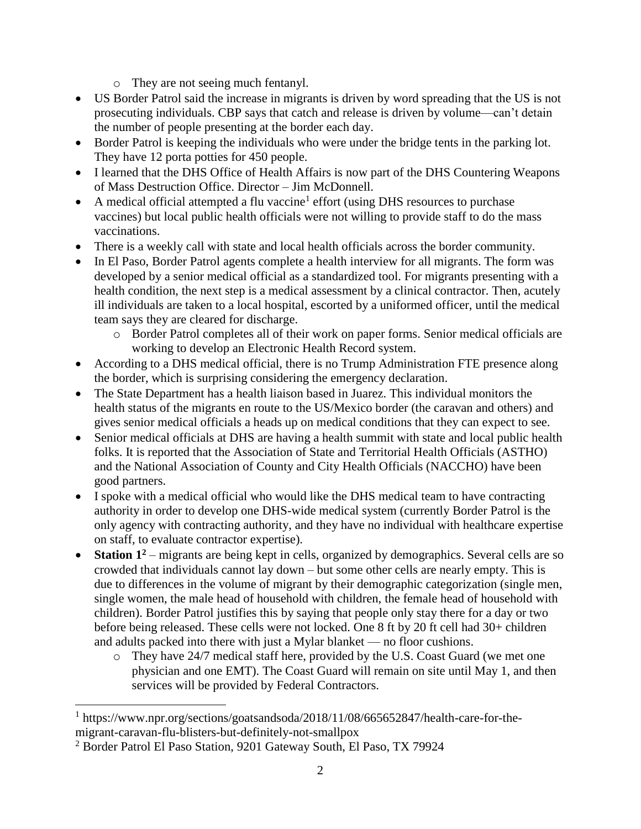- o They are not seeing much fentanyl.
- US Border Patrol said the increase in migrants is driven by word spreading that the US is not prosecuting individuals. CBP says that catch and release is driven by volume—can't detain the number of people presenting at the border each day.
- Border Patrol is keeping the individuals who were under the bridge tents in the parking lot. They have 12 porta potties for 450 people.
- I learned that the DHS Office of Health Affairs is now part of the DHS Countering Weapons of Mass Destruction Office. Director – Jim McDonnell.
- A medical official attempted a flu vaccine<sup>1</sup> effort (using DHS resources to purchase vaccines) but local public health officials were not willing to provide staff to do the mass vaccinations.
- There is a weekly call with state and local health officials across the border community.
- In El Paso, Border Patrol agents complete a health interview for all migrants. The form was developed by a senior medical official as a standardized tool. For migrants presenting with a health condition, the next step is a medical assessment by a clinical contractor. Then, acutely ill individuals are taken to a local hospital, escorted by a uniformed officer, until the medical team says they are cleared for discharge.
	- o Border Patrol completes all of their work on paper forms. Senior medical officials are working to develop an Electronic Health Record system.
- According to a DHS medical official, there is no Trump Administration FTE presence along the border, which is surprising considering the emergency declaration.
- The State Department has a health liaison based in Juarez. This individual monitors the health status of the migrants en route to the US/Mexico border (the caravan and others) and gives senior medical officials a heads up on medical conditions that they can expect to see.
- Senior medical officials at DHS are having a health summit with state and local public health folks. It is reported that the Association of State and Territorial Health Officials (ASTHO) and the National Association of County and City Health Officials (NACCHO) have been good partners.
- I spoke with a medical official who would like the DHS medical team to have contracting authority in order to develop one DHS-wide medical system (currently Border Patrol is the only agency with contracting authority, and they have no individual with healthcare expertise on staff, to evaluate contractor expertise).
- **Station 1<sup>2</sup>** migrants are being kept in cells, organized by demographics. Several cells are so crowded that individuals cannot lay down – but some other cells are nearly empty. This is due to differences in the volume of migrant by their demographic categorization (single men, single women, the male head of household with children, the female head of household with children). Border Patrol justifies this by saying that people only stay there for a day or two before being released. These cells were not locked. One 8 ft by 20 ft cell had 30+ children and adults packed into there with just a Mylar blanket — no floor cushions.
	- o They have 24/7 medical staff here, provided by the U.S. Coast Guard (we met one physician and one EMT). The Coast Guard will remain on site until May 1, and then services will be provided by Federal Contractors.

 $\overline{a}$ 

<sup>&</sup>lt;sup>1</sup> https://www.npr.org/sections/goatsandsoda/2018/11/08/665652847/health-care-for-themigrant-caravan-flu-blisters-but-definitely-not-smallpox

<sup>2</sup> Border Patrol El Paso Station, 9201 Gateway South, El Paso, TX 79924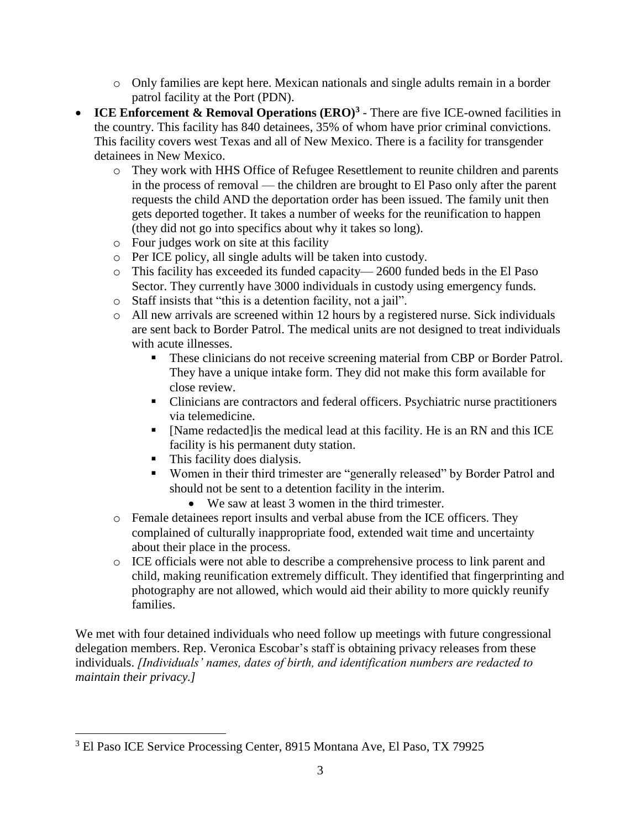- o Only families are kept here. Mexican nationals and single adults remain in a border patrol facility at the Port (PDN).
- **ICE Enforcement & Removal Operations (ERO)<sup>3</sup>** There are five ICE-owned facilities in the country. This facility has 840 detainees, 35% of whom have prior criminal convictions. This facility covers west Texas and all of New Mexico. There is a facility for transgender detainees in New Mexico.
	- o They work with HHS Office of Refugee Resettlement to reunite children and parents in the process of removal — the children are brought to El Paso only after the parent requests the child AND the deportation order has been issued. The family unit then gets deported together. It takes a number of weeks for the reunification to happen (they did not go into specifics about why it takes so long).
	- o Four judges work on site at this facility
	- o Per ICE policy, all single adults will be taken into custody.
	- o This facility has exceeded its funded capacity— 2600 funded beds in the El Paso Sector. They currently have 3000 individuals in custody using emergency funds.
	- o Staff insists that "this is a detention facility, not a jail".
	- o All new arrivals are screened within 12 hours by a registered nurse. Sick individuals are sent back to Border Patrol. The medical units are not designed to treat individuals with acute illnesses.
		- **These clinicians do not receive screening material from CBP or Border Patrol.** They have a unique intake form. They did not make this form available for close review.
		- Clinicians are contractors and federal officers. Psychiatric nurse practitioners via telemedicine.
		- [Name redacted]is the medical lead at this facility. He is an RN and this ICE facility is his permanent duty station.
		- This facility does dialysis.

 $\overline{\phantom{a}}$ 

- Women in their third trimester are "generally released" by Border Patrol and should not be sent to a detention facility in the interim.
	- We saw at least 3 women in the third trimester.
- o Female detainees report insults and verbal abuse from the ICE officers. They complained of culturally inappropriate food, extended wait time and uncertainty about their place in the process.
- o ICE officials were not able to describe a comprehensive process to link parent and child, making reunification extremely difficult. They identified that fingerprinting and photography are not allowed, which would aid their ability to more quickly reunify families.

We met with four detained individuals who need follow up meetings with future congressional delegation members. Rep. Veronica Escobar's staff is obtaining privacy releases from these individuals. *[Individuals' names, dates of birth, and identification numbers are redacted to maintain their privacy.]*

<sup>3</sup> El Paso ICE Service Processing Center, 8915 Montana Ave, El Paso, TX 79925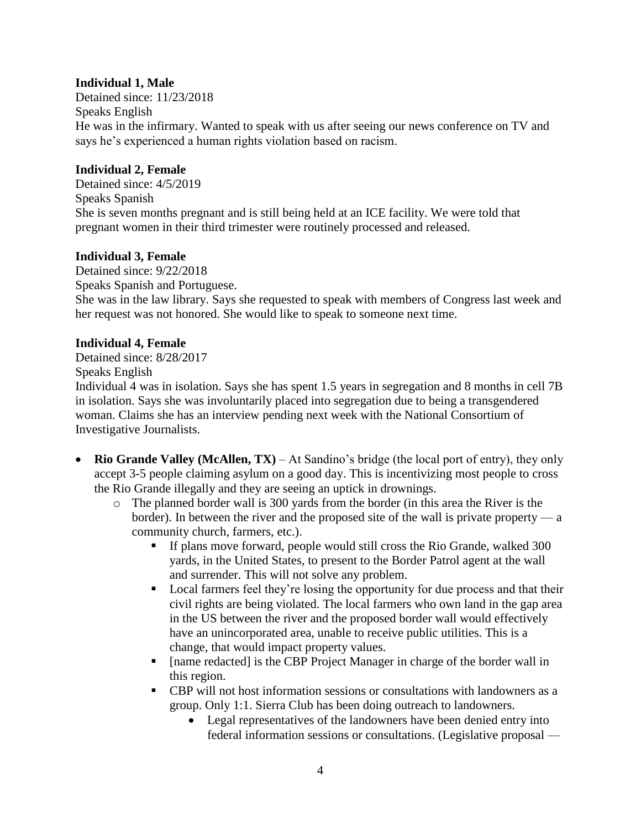# **Individual 1, Male**

Detained since: 11/23/2018 Speaks English He was in the infirmary. Wanted to speak with us after seeing our news conference on TV and says he's experienced a human rights violation based on racism.

#### **Individual 2, Female**

Detained since: 4/5/2019 Speaks Spanish She is seven months pregnant and is still being held at an ICE facility. We were told that pregnant women in their third trimester were routinely processed and released.

# **Individual 3, Female**

Detained since: 9/22/2018 Speaks Spanish and Portuguese. She was in the law library. Says she requested to speak with members of Congress last week and her request was not honored. She would like to speak to someone next time.

#### **Individual 4, Female**

Detained since: 8/28/2017 Speaks English

Individual 4 was in isolation. Says she has spent 1.5 years in segregation and 8 months in cell 7B in isolation. Says she was involuntarily placed into segregation due to being a transgendered woman. Claims she has an interview pending next week with the National Consortium of Investigative Journalists.

- **Rio Grande Valley (McAllen, TX)** At Sandino's bridge (the local port of entry), they only accept 3-5 people claiming asylum on a good day. This is incentivizing most people to cross the Rio Grande illegally and they are seeing an uptick in drownings.
	- o The planned border wall is 300 yards from the border (in this area the River is the border). In between the river and the proposed site of the wall is private property — a community church, farmers, etc.).
		- If plans move forward, people would still cross the Rio Grande, walked 300 yards, in the United States, to present to the Border Patrol agent at the wall and surrender. This will not solve any problem.
		- Local farmers feel they're losing the opportunity for due process and that their civil rights are being violated. The local farmers who own land in the gap area in the US between the river and the proposed border wall would effectively have an unincorporated area, unable to receive public utilities. This is a change, that would impact property values.
		- [name redacted] is the CBP Project Manager in charge of the border wall in this region.
		- CBP will not host information sessions or consultations with landowners as a group. Only 1:1. Sierra Club has been doing outreach to landowners.
			- Legal representatives of the landowners have been denied entry into federal information sessions or consultations. (Legislative proposal —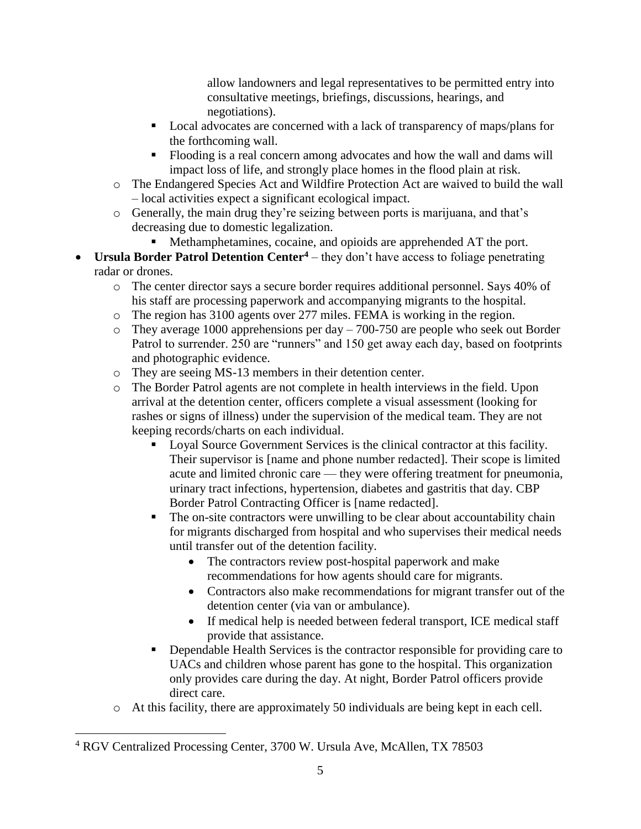allow landowners and legal representatives to be permitted entry into consultative meetings, briefings, discussions, hearings, and negotiations).

- Local advocates are concerned with a lack of transparency of maps/plans for the forthcoming wall.
- Flooding is a real concern among advocates and how the wall and dams will impact loss of life, and strongly place homes in the flood plain at risk.
- o The Endangered Species Act and Wildfire Protection Act are waived to build the wall – local activities expect a significant ecological impact.
- o Generally, the main drug they're seizing between ports is marijuana, and that's decreasing due to domestic legalization.
	- Methamphetamines, cocaine, and opioids are apprehended AT the port.
- **Ursula Border Patrol Detention Center<sup>4</sup>** they don't have access to foliage penetrating radar or drones.
	- o The center director says a secure border requires additional personnel. Says 40% of his staff are processing paperwork and accompanying migrants to the hospital.
	- o The region has 3100 agents over 277 miles. FEMA is working in the region.
	- $\circ$  They average 1000 apprehensions per day 700-750 are people who seek out Border Patrol to surrender. 250 are "runners" and 150 get away each day, based on footprints and photographic evidence.
	- o They are seeing MS-13 members in their detention center.
	- o The Border Patrol agents are not complete in health interviews in the field. Upon arrival at the detention center, officers complete a visual assessment (looking for rashes or signs of illness) under the supervision of the medical team. They are not keeping records/charts on each individual.
		- Loyal Source Government Services is the clinical contractor at this facility. Their supervisor is [name and phone number redacted]. Their scope is limited acute and limited chronic care — they were offering treatment for pneumonia, urinary tract infections, hypertension, diabetes and gastritis that day. CBP Border Patrol Contracting Officer is [name redacted].
		- **•** The on-site contractors were unwilling to be clear about accountability chain for migrants discharged from hospital and who supervises their medical needs until transfer out of the detention facility.
			- The contractors review post-hospital paperwork and make recommendations for how agents should care for migrants.
			- Contractors also make recommendations for migrant transfer out of the detention center (via van or ambulance).
			- If medical help is needed between federal transport, ICE medical staff provide that assistance.
		- Dependable Health Services is the contractor responsible for providing care to UACs and children whose parent has gone to the hospital. This organization only provides care during the day. At night, Border Patrol officers provide direct care.
	- o At this facility, there are approximately 50 individuals are being kept in each cell.

 $\overline{\phantom{a}}$ 

<sup>&</sup>lt;sup>4</sup> RGV Centralized Processing Center, 3700 W. Ursula Ave, McAllen, TX 78503